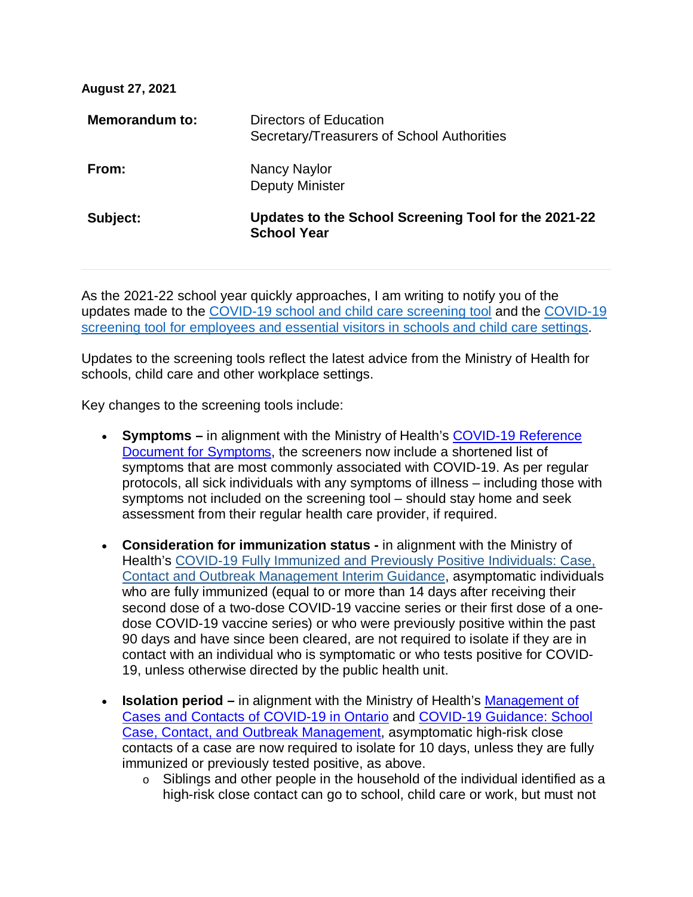| <b>August 27, 2021</b> |                                                                            |
|------------------------|----------------------------------------------------------------------------|
| Memorandum to:         | Directors of Education<br>Secretary/Treasurers of School Authorities       |
| From:                  | Nancy Naylor<br><b>Deputy Minister</b>                                     |
| Subject:               | Updates to the School Screening Tool for the 2021-22<br><b>School Year</b> |

As the 2021-22 school year quickly approaches, I am writing to notify you of the updates made to the [COVID-19 school and child care screening tool](https://covid-19.ontario.ca/school-screening/) and the [COVID-19](https://covid-19.ontario.ca/school-screening/)  [screening tool for employees and essential visitors in schools and child care settings.](https://covid-19.ontario.ca/school-screening/)

Updates to the screening tools reflect the latest advice from the Ministry of Health for schools, child care and other workplace settings.

Key changes to the screening tools include:

- **Symptoms –** in alignment with the Ministry of Health's [COVID-19 Reference](https://www.health.gov.on.ca/en/pro/programs/publichealth/coronavirus/2019_guidance.aspx#symptoms)  [Document for Symptoms,](https://www.health.gov.on.ca/en/pro/programs/publichealth/coronavirus/2019_guidance.aspx#symptoms) the screeners now include a shortened list of symptoms that are most commonly associated with COVID-19. As per regular protocols, all sick individuals with any symptoms of illness – including those with symptoms not included on the screening tool – should stay home and seek assessment from their regular health care provider, if required.
- **Consideration for immunization status -** in alignment with the Ministry of Health's [COVID-19 Fully Immunized and Previously Positive Individuals: Case,](https://www.health.gov.on.ca/en/pro/programs/publichealth/coronavirus/docs/contact_mngmt/COVID-19_fully_vaccinated_interim_guidance.pdf)  [Contact and Outbreak Management Interim Guidance,](https://www.health.gov.on.ca/en/pro/programs/publichealth/coronavirus/docs/contact_mngmt/COVID-19_fully_vaccinated_interim_guidance.pdf) asymptomatic individuals who are fully immunized (equal to or more than 14 days after receiving their second dose of a two-dose COVID-19 vaccine series or their first dose of a onedose COVID-19 vaccine series) or who were previously positive within the past 90 days and have since been cleared, are not required to isolate if they are in contact with an individual who is symptomatic or who tests positive for COVID-19, unless otherwise directed by the public health unit.
- **Isolation period** in alignment with the Ministry of Health's Management of [Cases and Contacts of COVID-19 in Ontario](https://www.health.gov.on.ca/en/pro/programs/publichealth/coronavirus/docs/contact_mngmt/management_cases_contacts.pdf) and [COVID-19 Guidance: School](https://www.health.gov.on.ca/en/pro/programs/publichealth/coronavirus/docs/COVID-19_school_outbreak_guidance.pdf)  [Case, Contact, and Outbreak Management,](https://www.health.gov.on.ca/en/pro/programs/publichealth/coronavirus/docs/COVID-19_school_outbreak_guidance.pdf) asymptomatic high-risk close contacts of a case are now required to isolate for 10 days, unless they are fully immunized or previously tested positive, as above.
	- o Siblings and other people in the household of the individual identified as a high-risk close contact can go to school, child care or work, but must not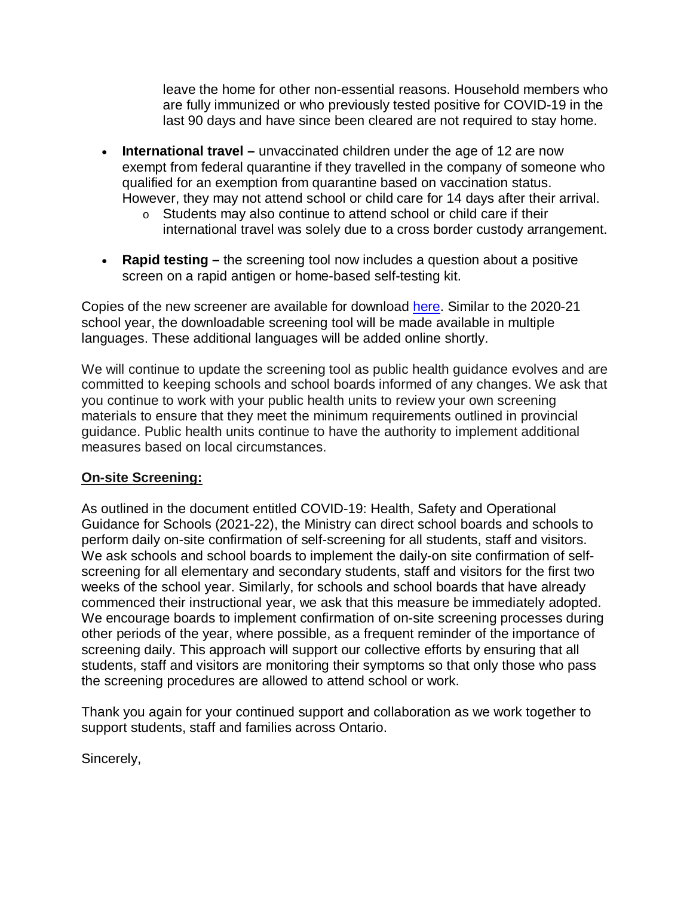leave the home for other non-essential reasons. Household members who are fully immunized or who previously tested positive for COVID-19 in the last 90 days and have since been cleared are not required to stay home.

- **International travel –** unvaccinated children under the age of 12 are now exempt from federal quarantine if they travelled in the company of someone who qualified for an exemption from quarantine based on vaccination status. However, they may not attend school or child care for 14 days after their arrival.
	- o Students may also continue to attend school or child care if their international travel was solely due to a cross border custody arrangement.
- **Rapid testing –** the screening tool now includes a question about a positive screen on a rapid antigen or home-based self-testing kit.

Copies of the new screener are available for download [here.](https://covid-19.ontario.ca/download-covid-19-screenings#school-and-child-care-screening) Similar to the 2020-21 school year, the downloadable screening tool will be made available in multiple languages. These additional languages will be added online shortly.

We will continue to update the screening tool as public health guidance evolves and are committed to keeping schools and school boards informed of any changes. We ask that you continue to work with your public health units to review your own screening materials to ensure that they meet the minimum requirements outlined in provincial guidance. Public health units continue to have the authority to implement additional measures based on local circumstances.

## **On-site Screening:**

As outlined in the document entitled COVID-19: Health, Safety and Operational Guidance for Schools (2021-22), the Ministry can direct school boards and schools to perform daily on-site confirmation of self-screening for all students, staff and visitors. We ask schools and school boards to implement the daily-on site confirmation of selfscreening for all elementary and secondary students, staff and visitors for the first two weeks of the school year. Similarly, for schools and school boards that have already commenced their instructional year, we ask that this measure be immediately adopted. We encourage boards to implement confirmation of on-site screening processes during other periods of the year, where possible, as a frequent reminder of the importance of screening daily. This approach will support our collective efforts by ensuring that all students, staff and visitors are monitoring their symptoms so that only those who pass the screening procedures are allowed to attend school or work.

Thank you again for your continued support and collaboration as we work together to support students, staff and families across Ontario.

Sincerely,